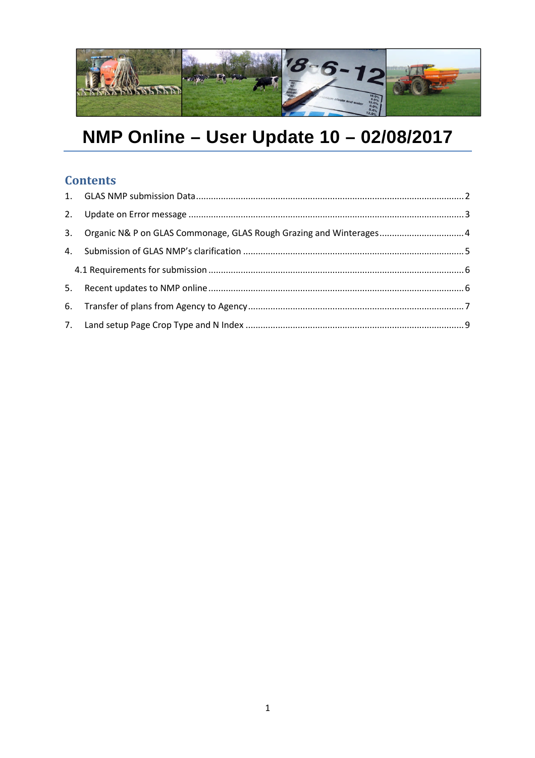

# NMP Online - User Update 10 - 02/08/2017

# **Contents**

| 3. Organic N& P on GLAS Commonage, GLAS Rough Grazing and Winterages 4 |  |
|------------------------------------------------------------------------|--|
|                                                                        |  |
|                                                                        |  |
|                                                                        |  |
|                                                                        |  |
|                                                                        |  |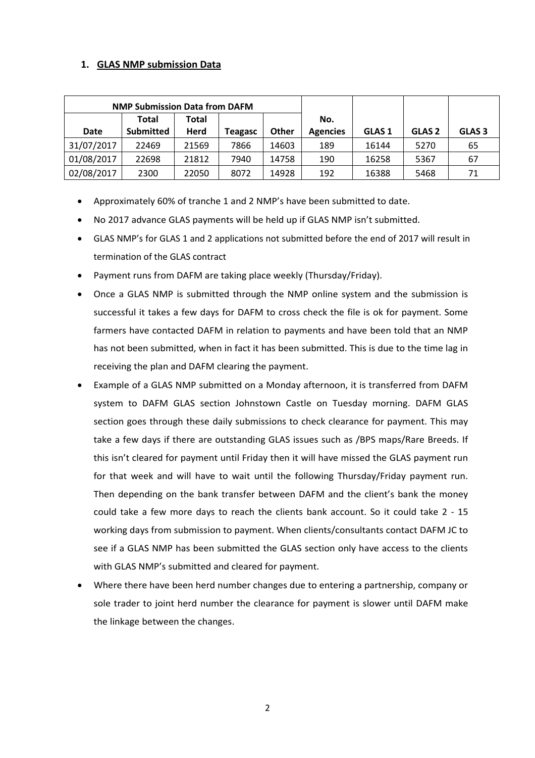## **1. GLAS NMP submission Data**

|            | <b>NMP Submission Data from DAFM</b> |              |                |       |                 |                   |                   |                   |
|------------|--------------------------------------|--------------|----------------|-------|-----------------|-------------------|-------------------|-------------------|
| Total      |                                      | <b>Total</b> |                |       | No.             |                   |                   |                   |
| Date       | <b>Submitted</b>                     | Herd         | <b>Teagasc</b> | Other | <b>Agencies</b> | GLAS <sub>1</sub> | GLAS <sub>2</sub> | GLAS <sub>3</sub> |
| 31/07/2017 | 22469                                | 21569        | 7866           | 14603 | 189             | 16144             | 5270              | 65                |
| 01/08/2017 | 22698                                | 21812        | 7940           | 14758 | 190             | 16258             | 5367              | 67                |
| 02/08/2017 | 2300                                 | 22050        | 8072           | 14928 | 192             | 16388             | 5468              | 71                |

- Approximately 60% of tranche 1 and 2 NMP's have been submitted to date.
- No 2017 advance GLAS payments will be held up if GLAS NMP isn't submitted.
- GLAS NMP's for GLAS 1 and 2 applications not submitted before the end of 2017 will result in termination of the GLAS contract
- Payment runs from DAFM are taking place weekly (Thursday/Friday).
- Once a GLAS NMP is submitted through the NMP online system and the submission is successful it takes a few days for DAFM to cross check the file is ok for payment. Some farmers have contacted DAFM in relation to payments and have been told that an NMP has not been submitted, when in fact it has been submitted. This is due to the time lag in receiving the plan and DAFM clearing the payment.
- Example of a GLAS NMP submitted on a Monday afternoon, it is transferred from DAFM system to DAFM GLAS section Johnstown Castle on Tuesday morning. DAFM GLAS section goes through these daily submissions to check clearance for payment. This may take a few days if there are outstanding GLAS issues such as /BPS maps/Rare Breeds. If this isn't cleared for payment until Friday then it will have missed the GLAS payment run for that week and will have to wait until the following Thursday/Friday payment run. Then depending on the bank transfer between DAFM and the client's bank the money could take a few more days to reach the clients bank account. So it could take 2 - 15 working days from submission to payment. When clients/consultants contact DAFM JC to see if a GLAS NMP has been submitted the GLAS section only have access to the clients with GLAS NMP's submitted and cleared for payment.
- Where there have been herd number changes due to entering a partnership, company or sole trader to joint herd number the clearance for payment is slower until DAFM make the linkage between the changes.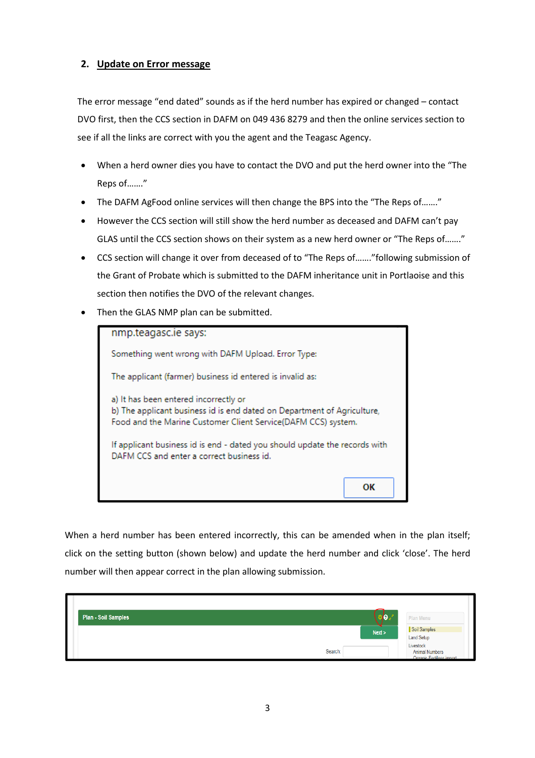#### **2. Update on Error message**

The error message "end dated" sounds as if the herd number has expired or changed – contact DVO first, then the CCS section in DAFM on 049 436 8279 and then the online services section to see if all the links are correct with you the agent and the Teagasc Agency.

- When a herd owner dies you have to contact the DVO and put the herd owner into the "The Reps of……."
- The DAFM AgFood online services will then change the BPS into the "The Reps of......."
- However the CCS section will still show the herd number as deceased and DAFM can't pay GLAS until the CCS section shows on their system as a new herd owner or "The Reps of……."
- CCS section will change it over from deceased of to "The Reps of……."following submission of the Grant of Probate which is submitted to the DAFM inheritance unit in Portlaoise and this section then notifies the DVO of the relevant changes.
- Then the GLAS NMP plan can be submitted.

| nmp.teagasc.ie says:                                                                                                                                                              |    |  |  |  |  |  |
|-----------------------------------------------------------------------------------------------------------------------------------------------------------------------------------|----|--|--|--|--|--|
| Something went wrong with DAFM Upload. Error Type:                                                                                                                                |    |  |  |  |  |  |
| The applicant (farmer) business id entered is invalid as:                                                                                                                         |    |  |  |  |  |  |
| a) It has been entered incorrectly or<br>b) The applicant business id is end dated on Department of Agriculture,<br>Food and the Marine Customer Client Service(DAFM CCS) system. |    |  |  |  |  |  |
| If applicant business id is end - dated you should update the records with<br>DAFM CCS and enter a correct business id.                                                           |    |  |  |  |  |  |
|                                                                                                                                                                                   | ОК |  |  |  |  |  |

When a herd number has been entered incorrectly, this can be amended when in the plan itself; click on the setting button (shown below) and update the herd number and click 'close'. The herd number will then appear correct in the plan allowing submission.

| Plan - Soil Samples | なり、     | Plan Menu                                                       |
|---------------------|---------|-----------------------------------------------------------------|
|                     | Next >  | Soil Samples<br><b>Land Setup</b>                               |
|                     | Search: | Livestock<br><b>Animal Numbers</b><br>Organic Fertiliser import |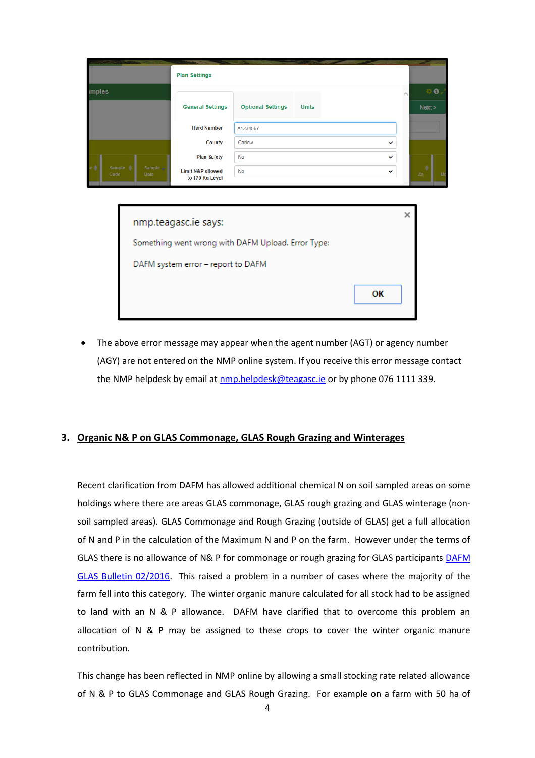|               |                             |                  | <b>Plan Settings</b>                            |                          |              |              |                    |
|---------------|-----------------------------|------------------|-------------------------------------------------|--------------------------|--------------|--------------|--------------------|
| <b>imples</b> |                             |                  |                                                 |                          |              |              | $\dot{\mathbf{Q}}$ |
|               |                             |                  | <b>General Settings</b>                         | <b>Optional Settings</b> | <b>Units</b> |              | Next >             |
|               |                             |                  | <b>Herd Number</b>                              | A1234567                 |              |              |                    |
|               |                             |                  | <b>County</b>                                   | Carlow                   |              | $\checkmark$ |                    |
|               |                             |                  | <b>Plan Safety</b>                              | <b>No</b>                |              | $\checkmark$ |                    |
|               | Sample $\triangleq$<br>Code | Sample .<br>Date | <b>Limit N&amp;P allowed</b><br>to 170 Kg Level | <b>No</b>                |              | $\checkmark$ | Zn<br>Bo           |

| nmp.teagasc.ie says:                               |    |
|----------------------------------------------------|----|
| Something went wrong with DAFM Upload. Error Type: |    |
| DAFM system error - report to DAFM                 |    |
|                                                    | ОΚ |

 The above error message may appear when the agent number (AGT) or agency number (AGY) are not entered on the NMP online system. If you receive this error message contact the NMP helpdesk by email at nmp.helpdesk@teagasc.ie or by phone 076 1111 339.

#### **3. Organic N& P on GLAS Commonage, GLAS Rough Grazing and Winterages**

Recent clarification from DAFM has allowed additional chemical N on soil sampled areas on some holdings where there are areas GLAS commonage, GLAS rough grazing and GLAS winterage (nonsoil sampled areas). GLAS Commonage and Rough Grazing (outside of GLAS) get a full allocation of N and P in the calculation of the Maximum N and P on the farm. However under the terms of GLAS there is no allowance of N& P for commonage or rough grazing for GLAS participants DAFM GLAS Bulletin 02/2016. This raised a problem in a number of cases where the majority of the farm fell into this category. The winter organic manure calculated for all stock had to be assigned to land with an N & P allowance. DAFM have clarified that to overcome this problem an allocation of N & P may be assigned to these crops to cover the winter organic manure contribution.

This change has been reflected in NMP online by allowing a small stocking rate related allowance of N & P to GLAS Commonage and GLAS Rough Grazing. For example on a farm with 50 ha of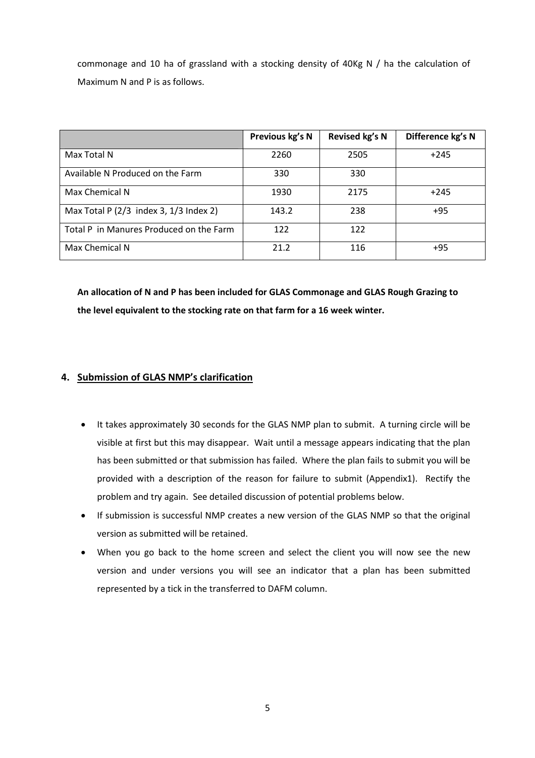commonage and 10 ha of grassland with a stocking density of 40Kg N / ha the calculation of Maximum N and P is as follows.

|                                            | Previous kg's N | Revised kg's N | Difference kg's N |
|--------------------------------------------|-----------------|----------------|-------------------|
| Max Total N                                | 2260            | 2505           | $+245$            |
| Available N Produced on the Farm           | 330             | 330            |                   |
| Max Chemical N                             | 1930            | 2175           | $+245$            |
| Max Total P $(2/3$ index 3, $1/3$ Index 2) | 143.2           | 238            | $+95$             |
| Total P in Manures Produced on the Farm    | 122             | 122            |                   |
| Max Chemical N                             | 21.2            | 116            | $+95$             |

**An allocation of N and P has been included for GLAS Commonage and GLAS Rough Grazing to the level equivalent to the stocking rate on that farm for a 16 week winter.**

# **4. Submission of GLAS NMP's clarification**

- It takes approximately 30 seconds for the GLAS NMP plan to submit. A turning circle will be visible at first but this may disappear. Wait until a message appears indicating that the plan has been submitted or that submission has failed. Where the plan fails to submit you will be provided with a description of the reason for failure to submit (Appendix1). Rectify the problem and try again. See detailed discussion of potential problems below.
- If submission is successful NMP creates a new version of the GLAS NMP so that the original version as submitted will be retained.
- When you go back to the home screen and select the client you will now see the new version and under versions you will see an indicator that a plan has been submitted represented by a tick in the transferred to DAFM column.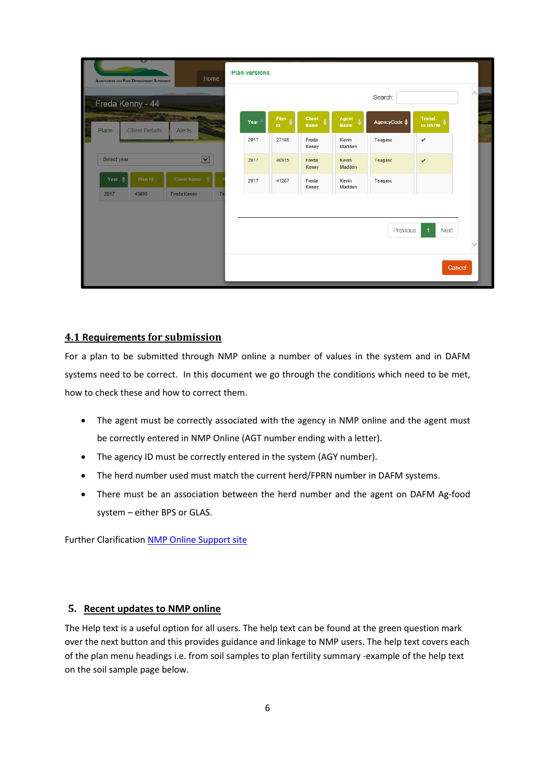| AGESCULTURE AND FOOD DEVELOPMENT AUTHORITY                                | Home                    | <b>Plan versions</b> |               |                |                    |                         |                    |              |
|---------------------------------------------------------------------------|-------------------------|----------------------|---------------|----------------|--------------------|-------------------------|--------------------|--------------|
| I<br>Freda Kenny - 44                                                     |                         |                      |               |                |                    | Search:                 |                    | $\land$      |
| <b>STATISTICS</b><br>I<br><b>Client Details</b><br><b>Plans</b><br>Alerts |                         | Year 4               | Plan A<br>Id. | Client<br>Name | Agent<br>۵<br>Name | AgencyCode $\triangleq$ | Transf.<br>to DAFM |              |
|                                                                           |                         | 2017                 | 27185         | Freda<br>Kenny | Kevin<br>Madden    | Teagasc                 | v                  |              |
| Select year                                                               | $\overline{\mathbf{y}}$ | 2017                 | 40915         | Freda<br>Kenny | Kevin<br>Madden    | Teagasc                 | $\checkmark$       |              |
| <b>Client Name</b><br>Year $\triangleq$<br>Plan Id                        |                         | 2017                 | 41287         | Freda<br>Kenny | Kevin<br>Madden    | Teagasc                 |                    |              |
| Freda Kenny<br>2017<br>43895                                              | Tir                     |                      |               |                |                    |                         |                    |              |
|                                                                           |                         |                      |               |                |                    | Previous                | Next<br>1          |              |
|                                                                           |                         |                      |               |                |                    |                         |                    | $\checkmark$ |
|                                                                           |                         |                      |               |                |                    |                         |                    | Cancel       |
|                                                                           |                         |                      |               |                |                    |                         |                    |              |

## **4.1 Requirements for submission**

For a plan to be submitted through NMP online a number of values in the system and in DAFM systems need to be correct. In this document we go through the conditions which need to be met, how to check these and how to correct them.

- The agent must be correctly associated with the agency in NMP online and the agent must be correctly entered in NMP Online (AGT number ending with a letter).
- The agency ID must be correctly entered in the system (AGY number).
- The herd number used must match the current herd/FPRN number in DAFM systems.
- There must be an association between the herd number and the agent on DAFM Ag-food system – either BPS or GLAS.

Further Clarification NMP Online Support site

#### **5. Recent updates to NMP online**

The Help text is a useful option for all users. The help text can be found at the green question mark over the next button and this provides guidance and linkage to NMP users. The help text covers each of the plan menu headings i.e. from soil samples to plan fertility summary -example of the help text on the soil sample page below.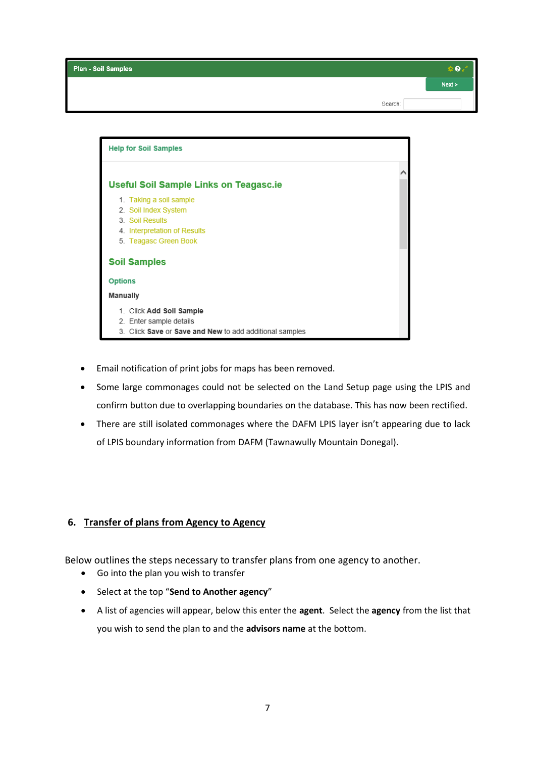| Plan - Soil Samples |         | Ð.     |
|---------------------|---------|--------|
|                     |         | Next > |
|                     | Search: |        |



- Email notification of print jobs for maps has been removed.
- Some large commonages could not be selected on the Land Setup page using the LPIS and confirm button due to overlapping boundaries on the database. This has now been rectified.
- There are still isolated commonages where the DAFM LPIS layer isn't appearing due to lack of LPIS boundary information from DAFM (Tawnawully Mountain Donegal).

#### **6. Transfer of plans from Agency to Agency**

Below outlines the steps necessary to transfer plans from one agency to another.

- Go into the plan you wish to transfer
- Select at the top "**Send to Another agency**"
- A list of agencies will appear, below this enter the **agent**. Select the **agency** from the list that you wish to send the plan to and the **advisors name** at the bottom.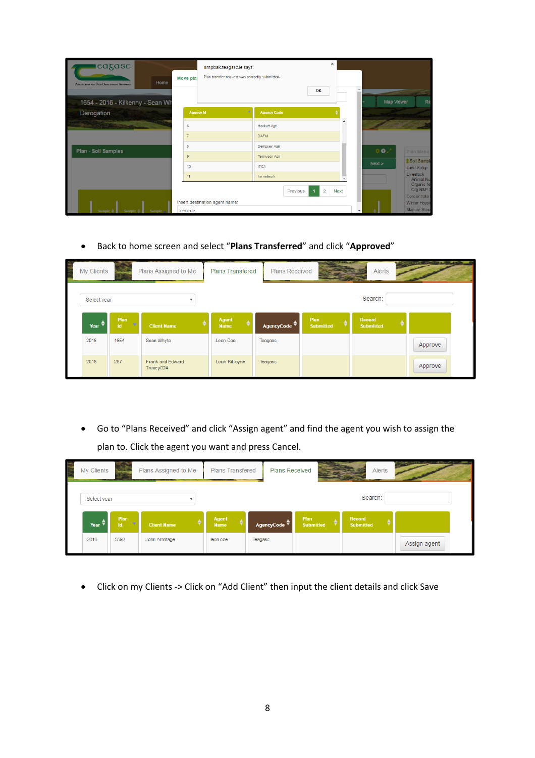| cagasc<br>Home<br>AGESCULTURE AND FOOD DEVELOPMENT AUTHORITY<br>1654 - 2016 - Kilkenny - Sean Wh | nmpbak.teagasc.ie says:<br>Move plai | Plan transfer request was correctly submitted. | $\times$<br>OK                | Map Vlewer | Re                                                |
|--------------------------------------------------------------------------------------------------|--------------------------------------|------------------------------------------------|-------------------------------|------------|---------------------------------------------------|
| Derogation                                                                                       | <b>Agency Id</b>                     | <b>Agency Code</b>                             |                               |            |                                                   |
|                                                                                                  | 6                                    | Hackett Agri                                   |                               |            |                                                   |
|                                                                                                  | $\overline{7}$                       | <b>DAFM</b>                                    |                               |            |                                                   |
| <b>Plan - Soil Samples</b>                                                                       | 8                                    | Dempsey Agri                                   |                               |            |                                                   |
|                                                                                                  | 9                                    | Tennyson Agri                                  |                               |            | <b>Plan Menu</b>                                  |
|                                                                                                  | 10                                   | <b>ITCA</b>                                    |                               | Next >     | Soil Sample<br><b>Land Setup</b>                  |
|                                                                                                  | 11                                   | frs network<br>Previous                        | $\overline{2}$<br><b>Next</b> |            | Livestock<br>Animal Nu<br>Organic fe<br>Org N&P S |
|                                                                                                  |                                      |                                                |                               |            | Concentrate                                       |
|                                                                                                  | Insert destination agent name:       |                                                |                               |            | Winter Housi                                      |
| Sample<br>Sample $\triangleq$<br>Sample                                                          | leoncoe                              |                                                |                               | $\cdot$    | Manure Stora                                      |

Back to home screen and select "**Plans Transferred**" and click "**Approved**"

| er et al. | My Clients                   |                                | Plans Assigned to Me          | <b>Plans Transfered</b> | <b>Plans Received</b> |                               | Alerts                     |         |  |
|-----------|------------------------------|--------------------------------|-------------------------------|-------------------------|-----------------------|-------------------------------|----------------------------|---------|--|
|           | Select year                  |                                |                               |                         |                       |                               | Search:                    |         |  |
|           | Year $\overline{\mathbf{v}}$ | Plan<br><b>TO</b><br><b>Id</b> | <b>Client Name</b>            | Agent<br><b>Name</b>    | AgencyCode ▼          | Plan<br>٠<br><b>Submitted</b> | Record<br><b>Submitted</b> |         |  |
|           | 2016                         | 1654                           | Sean Whyte                    | Leon Coe                | Teagasc               |                               |                            | Approve |  |
|           | 2018                         | 287                            | Frank and Edward<br>Treacy024 | Louis Kilcoyne          | Teagasc               |                               |                            | Approve |  |

 Go to "Plans Received" and click "Assign agent" and find the agent you wish to assign the plan to. Click the agent you want and press Cancel.

| My Clients     |                  | Plans Assigned to Me | <b>Plans Transfered</b> |         | <b>Plans Received</b>   |                          |                            | Alerts |              |  |
|----------------|------------------|----------------------|-------------------------|---------|-------------------------|--------------------------|----------------------------|--------|--------------|--|
| Select year    |                  |                      |                         |         |                         |                          | Search:                    |        |              |  |
| Year $\bar{v}$ | Plan<br>v<br>Id. | <b>Client Name</b>   | Agent<br><b>Name</b>    |         | AgencyCode <sup>▼</sup> | Plan<br><b>Submitted</b> | Record<br><b>Submitted</b> |        |              |  |
| 2016           | 5592             | John Armitage        | leon coe                | Teagasc |                         |                          |                            |        | Assign agent |  |

Click on my Clients -> Click on "Add Client" then input the client details and click Save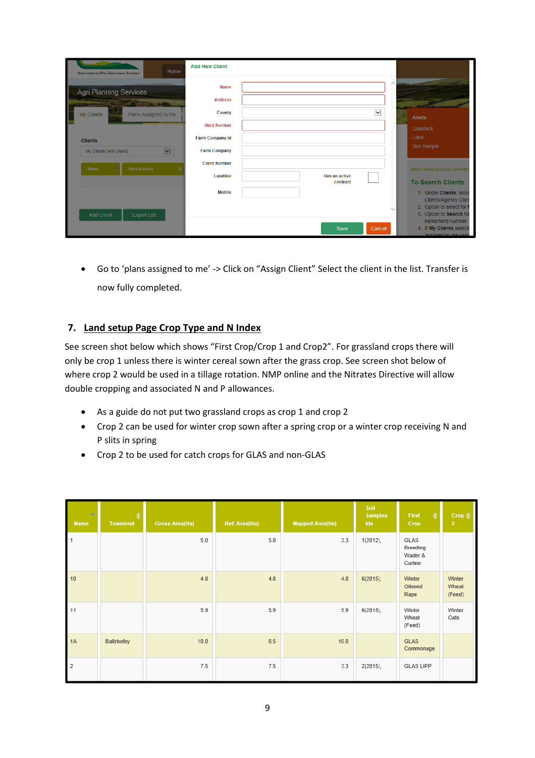| Home<br>AGRICULTURE AND FOOD DEVELOPMENT AUTHORITY                                      | <b>Add New Client</b>                        |                       |        |                                                                                                                                            |
|-----------------------------------------------------------------------------------------|----------------------------------------------|-----------------------|--------|--------------------------------------------------------------------------------------------------------------------------------------------|
| <b>Agri Planning Services</b><br><b>CONTINUES</b><br>My Clients<br>Plans Assigned to Me | <b>Name</b><br><b>Address</b><br>County      | $\checkmark$          |        | <b>Alerts</b>                                                                                                                              |
|                                                                                         | <b>Herd Number</b><br><b>Farm Company Id</b> |                       |        | Livestock<br>Land                                                                                                                          |
| <b>Clients</b><br>$\overline{\mathbf{v}}$<br>My Clients (with plans)                    | <b>Farm Company</b>                          |                       |        | Soil Sample                                                                                                                                |
| <b>Herd Number</b><br>Name                                                              | <b>Client Number</b><br>Landline             | Has an active         |        | https://www.teagasc.ie/envir                                                                                                               |
| <b>Add Client</b><br><b>Export List</b>                                                 | <b>Mobile</b>                                | contract              | $\sim$ | <b>To Search Clients</b><br>1. Under Clients, selec<br><b>Clients/Agency Clien</b><br>2. Option to select for I<br>3. Option to Search for |
|                                                                                         |                                              | Cancel<br><b>Save</b> |        | name/herd number<br>4. If My Clients selecte<br>assigned to me sear                                                                        |

 Go to 'plans assigned to me' -> Click on "Assign Client" Select the client in the list. Transfer is now fully completed.

## **7. Land setup Page Crop Type and N Index**

See screen shot below which shows "First Crop/Crop 1 and Crop2". For grassland crops there will only be crop 1 unless there is winter cereal sown after the grass crop. See screen shot below of where crop 2 would be used in a tillage rotation. NMP online and the Nitrates Directive will allow double cropping and associated N and P allowances.

- As a guide do not put two grassland crops as crop 1 and crop 2
- Crop 2 can be used for winter crop sown after a spring crop or a winter crop receiving N and P slits in spring
- Crop 2 to be used for catch crops for GLAS and non-GLAS

| <b>A</b><br><b>Name</b> | ٠<br><b>Townland</b> | <b>Gross Area(Ha)</b> | Ref. Area(Ha) | <b>Mapped Area(Ha)</b> | Soil<br><b>Samples</b><br>Ids | First<br>٠<br>Crop                    | Crop $\triangleq$<br>$\overline{2}$ |
|-------------------------|----------------------|-----------------------|---------------|------------------------|-------------------------------|---------------------------------------|-------------------------------------|
| $\mathbf{1}$            |                      | 5.0                   | 5.0           | 3.3                    | $1(2012)$ ,                   | GLAS<br>Breeding<br>Wader &<br>Curlew |                                     |
| 10                      |                      | 4.8                   | 4.8           | 4.8                    | 6(2015),                      | Winter<br>Oilseed<br>Rape             | Winter<br>Wheat<br>(Feed)           |
| 11                      |                      | 5.9                   | 5.9           | 5.9                    | 6(2015),                      | Winter<br>Wheat<br>(Feed)             | Winter<br>Oats                      |
| 1A                      | Ballybofey           | 10.0                  | 0.5           | 10.0                   |                               | <b>GLAS</b><br>Commonage              |                                     |
| $\overline{2}$          |                      | 7.5                   | 7.5           | 3.3                    | $2(2015)$ ,                   | <b>GLAS LIPP</b>                      |                                     |